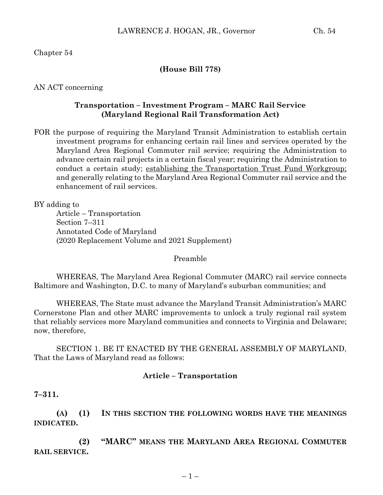Chapter 54

### **(House Bill 778)**

AN ACT concerning

### **Transportation – Investment Program – MARC Rail Service (Maryland Regional Rail Transformation Act)**

FOR the purpose of requiring the Maryland Transit Administration to establish certain investment programs for enhancing certain rail lines and services operated by the Maryland Area Regional Commuter rail service; requiring the Administration to advance certain rail projects in a certain fiscal year; requiring the Administration to conduct a certain study; establishing the Transportation Trust Fund Workgroup; and generally relating to the Maryland Area Regional Commuter rail service and the enhancement of rail services.

BY adding to

Article – Transportation Section 7–311 Annotated Code of Maryland (2020 Replacement Volume and 2021 Supplement)

#### Preamble

WHEREAS, The Maryland Area Regional Commuter (MARC) rail service connects Baltimore and Washington, D.C. to many of Maryland's suburban communities; and

WHEREAS, The State must advance the Maryland Transit Administration's MARC Cornerstone Plan and other MARC improvements to unlock a truly regional rail system that reliably services more Maryland communities and connects to Virginia and Delaware; now, therefore,

SECTION 1. BE IT ENACTED BY THE GENERAL ASSEMBLY OF MARYLAND, That the Laws of Maryland read as follows:

#### **Article – Transportation**

**7–311.**

**(A) (1) IN THIS SECTION THE FOLLOWING WORDS HAVE THE MEANINGS INDICATED.**

**(2) "MARC" MEANS THE MARYLAND AREA REGIONAL COMMUTER RAIL SERVICE.**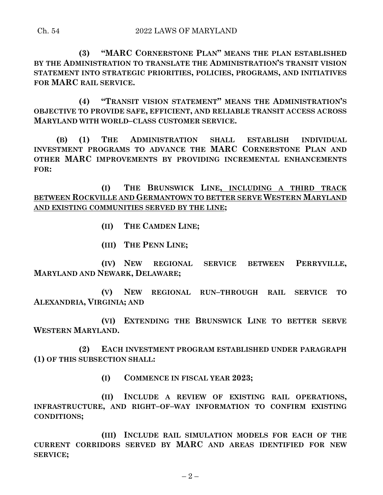**(3) "MARC CORNERSTONE PLAN" MEANS THE PLAN ESTABLISHED BY THE ADMINISTRATION TO TRANSLATE THE ADMINISTRATION'S TRANSIT VISION STATEMENT INTO STRATEGIC PRIORITIES, POLICIES, PROGRAMS, AND INITIATIVES FOR MARC RAIL SERVICE.**

**(4) "TRANSIT VISION STATEMENT" MEANS THE ADMINISTRATION'S OBJECTIVE TO PROVIDE SAFE, EFFICIENT, AND RELIABLE TRANSIT ACCESS ACROSS MARYLAND WITH WORLD–CLASS CUSTOMER SERVICE.**

**(B) (1) THE ADMINISTRATION SHALL ESTABLISH INDIVIDUAL INVESTMENT PROGRAMS TO ADVANCE THE MARC CORNERSTONE PLAN AND OTHER MARC IMPROVEMENTS BY PROVIDING INCREMENTAL ENHANCEMENTS FOR:**

**(I) THE BRUNSWICK LINE, INCLUDING A THIRD TRACK BETWEEN ROCKVILLE AND GERMANTOWN TO BETTER SERVE WESTERN MARYLAND AND EXISTING COMMUNITIES SERVED BY THE LINE;**

- **(II) THE CAMDEN LINE;**
- **(III) THE PENN LINE;**

**(IV) NEW REGIONAL SERVICE BETWEEN PERRYVILLE, MARYLAND AND NEWARK, DELAWARE;**

**(V) NEW REGIONAL RUN–THROUGH RAIL SERVICE TO ALEXANDRIA, VIRGINIA; AND**

**(VI) EXTENDING THE BRUNSWICK LINE TO BETTER SERVE WESTERN MARYLAND.**

**(2) EACH INVESTMENT PROGRAM ESTABLISHED UNDER PARAGRAPH (1) OF THIS SUBSECTION SHALL:**

**(I) COMMENCE IN FISCAL YEAR 2023;**

**(II) INCLUDE A REVIEW OF EXISTING RAIL OPERATIONS, INFRASTRUCTURE, AND RIGHT–OF–WAY INFORMATION TO CONFIRM EXISTING CONDITIONS;**

**(III) INCLUDE RAIL SIMULATION MODELS FOR EACH OF THE CURRENT CORRIDORS SERVED BY MARC AND AREAS IDENTIFIED FOR NEW SERVICE;**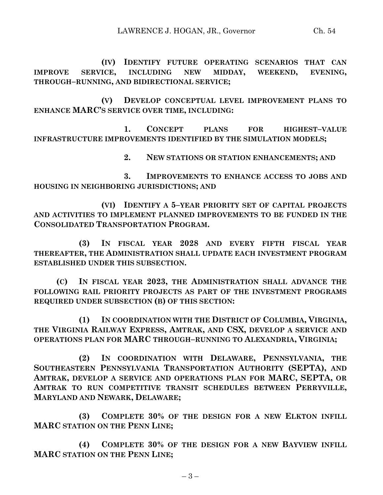**(IV) IDENTIFY FUTURE OPERATING SCENARIOS THAT CAN IMPROVE SERVICE, INCLUDING NEW MIDDAY, WEEKEND, EVENING, THROUGH–RUNNING, AND BIDIRECTIONAL SERVICE;**

**(V) DEVELOP CONCEPTUAL LEVEL IMPROVEMENT PLANS TO ENHANCE MARC'S SERVICE OVER TIME, INCLUDING:**

**1. CONCEPT PLANS FOR HIGHEST–VALUE INFRASTRUCTURE IMPROVEMENTS IDENTIFIED BY THE SIMULATION MODELS;**

**2. NEW STATIONS OR STATION ENHANCEMENTS; AND**

**3. IMPROVEMENTS TO ENHANCE ACCESS TO JOBS AND HOUSING IN NEIGHBORING JURISDICTIONS; AND**

**(VI) IDENTIFY A 5–YEAR PRIORITY SET OF CAPITAL PROJECTS AND ACTIVITIES TO IMPLEMENT PLANNED IMPROVEMENTS TO BE FUNDED IN THE CONSOLIDATED TRANSPORTATION PROGRAM.**

**(3) IN FISCAL YEAR 2028 AND EVERY FIFTH FISCAL YEAR THEREAFTER, THE ADMINISTRATION SHALL UPDATE EACH INVESTMENT PROGRAM ESTABLISHED UNDER THIS SUBSECTION.**

**(C) IN FISCAL YEAR 2023, THE ADMINISTRATION SHALL ADVANCE THE FOLLOWING RAIL PRIORITY PROJECTS AS PART OF THE INVESTMENT PROGRAMS REQUIRED UNDER SUBSECTION (B) OF THIS SECTION:**

**(1) IN COORDINATION WITH THE DISTRICT OF COLUMBIA, VIRGINIA, THE VIRGINIA RAILWAY EXPRESS, AMTRAK, AND CSX, DEVELOP A SERVICE AND OPERATIONS PLAN FOR MARC THROUGH–RUNNING TO ALEXANDRIA, VIRGINIA;**

**(2) IN COORDINATION WITH DELAWARE, PENNSYLVANIA, THE SOUTHEASTERN PENNSYLVANIA TRANSPORTATION AUTHORITY (SEPTA), AND AMTRAK, DEVELOP A SERVICE AND OPERATIONS PLAN FOR MARC, SEPTA, OR AMTRAK TO RUN COMPETITIVE TRANSIT SCHEDULES BETWEEN PERRYVILLE, MARYLAND AND NEWARK, DELAWARE;**

**(3) COMPLETE 30% OF THE DESIGN FOR A NEW ELKTON INFILL MARC STATION ON THE PENN LINE;**

**(4) COMPLETE 30% OF THE DESIGN FOR A NEW BAYVIEW INFILL MARC STATION ON THE PENN LINE;**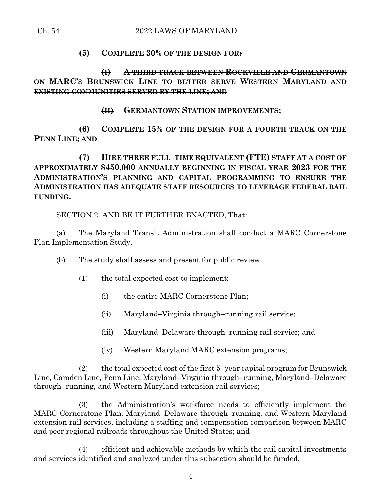## **(5) COMPLETE 30% OF THE DESIGN FOR:**

# **(I) A THIRD TRACK BETWEEN ROCKVILLE AND GERMANTOWN ON MARC'S BRUNSWICK LINE TO BETTER SERVE WESTERN MARYLAND AND EXISTING COMMUNITIES SERVED BY THE LINE; AND**

## **(II) GERMANTOWN STATION IMPROVEMENTS;**

**(6) COMPLETE 15% OF THE DESIGN FOR A FOURTH TRACK ON THE PENN LINE; AND**

**(7) HIRE THREE FULL–TIME EQUIVALENT (FTE) STAFF AT A COST OF APPROXIMATELY \$450,000 ANNUALLY BEGINNING IN FISCAL YEAR 2023 FOR THE ADMINISTRATION'S PLANNING AND CAPITAL PROGRAMMING TO ENSURE THE ADMINISTRATION HAS ADEQUATE STAFF RESOURCES TO LEVERAGE FEDERAL RAIL FUNDING.**

SECTION 2. AND BE IT FURTHER ENACTED, That:

(a) The Maryland Transit Administration shall conduct a MARC Cornerstone Plan Implementation Study.

- (b) The study shall assess and present for public review:
	- (1) the total expected cost to implement:
		- (i) the entire MARC Cornerstone Plan;
		- (ii) Maryland–Virginia through–running rail service;
		- (iii) Maryland–Delaware through–running rail service; and
		- (iv) Western Maryland MARC extension programs;

(2) the total expected cost of the first 5–year capital program for Brunswick Line, Camden Line, Penn Line, Maryland–Virginia through–running, Maryland–Delaware through–running, and Western Maryland extension rail services;

(3) the Administration's workforce needs to efficiently implement the MARC Cornerstone Plan, Maryland–Delaware through–running, and Western Maryland extension rail services, including a staffing and compensation comparison between MARC and peer regional railroads throughout the United States; and

(4) efficient and achievable methods by which the rail capital investments and services identified and analyzed under this subsection should be funded.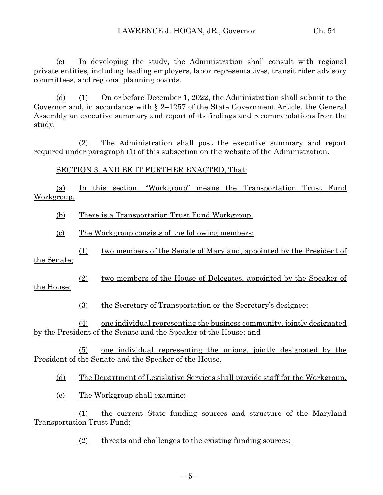(c) In developing the study, the Administration shall consult with regional private entities, including leading employers, labor representatives, transit rider advisory committees, and regional planning boards.

(d) (1) On or before December 1, 2022, the Administration shall submit to the Governor and, in accordance with § 2–1257 of the State Government Article, the General Assembly an executive summary and report of its findings and recommendations from the study.

(2) The Administration shall post the executive summary and report required under paragraph (1) of this subsection on the website of the Administration.

SECTION 3. AND BE IT FURTHER ENACTED, That:

(a) In this section, "Workgroup" means the Transportation Trust Fund Workgroup.

(b) There is a Transportation Trust Fund Workgroup.

(c) The Workgroup consists of the following members:

(1) two members of the Senate of Maryland, appointed by the President of the Senate;

(2) two members of the House of Delegates, appointed by the Speaker of the House;

(3) the Secretary of Transportation or the Secretary's designee;

(4) one individual representing the business community, jointly designated by the President of the Senate and the Speaker of the House; and

(5) one individual representing the unions, jointly designated by the President of the Senate and the Speaker of the House.

(d) The Department of Legislative Services shall provide staff for the Workgroup.

(e) The Workgroup shall examine:

(1) the current State funding sources and structure of the Maryland Transportation Trust Fund;

(2) threats and challenges to the existing funding sources;